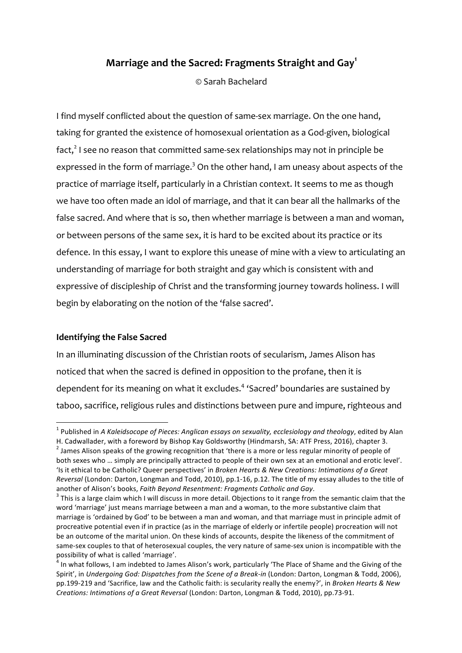# **Marriage and the Sacred: Fragments Straight and Gay<sup>1</sup>**

© Sarah Bachelard

I find myself conflicted about the question of same-sex marriage. On the one hand, taking for granted the existence of homosexual orientation as a God-given, biological  $fact, 2$  I see no reason that committed same-sex relationships may not in principle be expressed in the form of marriage.<sup>3</sup> On the other hand, I am uneasy about aspects of the practice of marriage itself, particularly in a Christian context. It seems to me as though we have too often made an idol of marriage, and that it can bear all the hallmarks of the false sacred. And where that is so, then whether marriage is between a man and woman, or between persons of the same sex, it is hard to be excited about its practice or its defence. In this essay, I want to explore this unease of mine with a view to articulating an understanding of marriage for both straight and gay which is consistent with and expressive of discipleship of Christ and the transforming journey towards holiness. I will begin by elaborating on the notion of the 'false sacred'.

### **Identifying the False Sacred**

<u> 1989 - Johann Barn, mars ann an t-Amhain an t-Amhain an t-Amhain an t-Amhain an t-Amhain an t-Amhain an t-Amh</u>

In an illuminating discussion of the Christian roots of secularism, James Alison has noticed that when the sacred is defined in opposition to the profane, then it is dependent for its meaning on what it excludes.<sup>4</sup> 'Sacred' boundaries are sustained by taboo, sacrifice, religious rules and distinctions between pure and impure, righteous and

<sup>&</sup>lt;sup>1</sup> Published in A *Kaleidsocope of Pieces: Anglican essays on sexuality, ecclesiology and theology, edited by Alan* 

H. Cadwallader, with a foreword by Bishop Kay Goldsworthy (Hindmarsh, SA: ATF Press, 2016), chapter 3.  $^2$  James Alison speaks of the growing recognition that 'there is a more or less regular minority of people of both sexes who ... simply are principally attracted to people of their own sex at an emotional and erotic level'. 'Is it ethical to be Catholic? Queer perspectives' in *Broken Hearts & New Creations: Intimations of a Great Reversal* (London: Darton, Longman and Todd, 2010), pp.1-16, p.12. The title of my essay alludes to the title of another of Alison's books, *Faith Beyond Resentment: Fragments Catholic and Gay*.<br><sup>3</sup> This is a large claim which I will discuss in more detail. Objections to it range from the semantic claim that the

word 'marriage' just means marriage between a man and a woman, to the more substantive claim that marriage is 'ordained by God' to be between a man and woman, and that marriage must in principle admit of procreative potential even if in practice (as in the marriage of elderly or infertile people) procreation will not be an outcome of the marital union. On these kinds of accounts, despite the likeness of the commitment of same-sex couples to that of heterosexual couples, the very nature of same-sex union is incompatible with the possibility of what is called 'marriage'.

In what follows, I am indebted to James Alison's work, particularly 'The Place of Shame and the Giving of the Spirit', in *Undergoing God: Dispatches from the Scene of a Break-in* (London: Darton, Longman & Todd, 2006), pp.199-219 and 'Sacrifice, law and the Catholic faith: is secularity really the enemy?', in *Broken Hearts & New Creations: Intimations of a Great Reversal* (London: Darton, Longman & Todd, 2010), pp.73-91.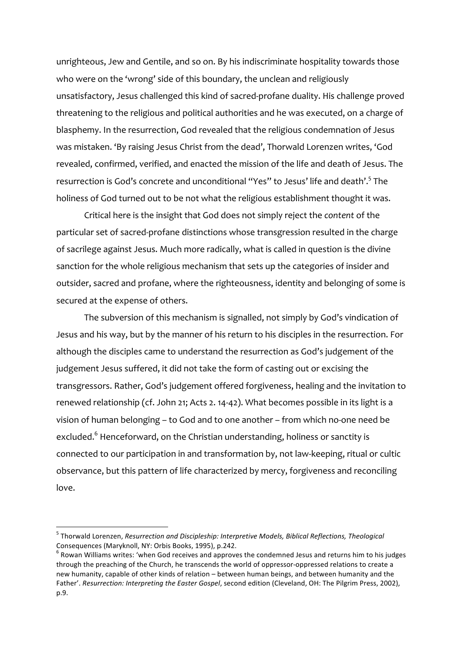unrighteous, Jew and Gentile, and so on. By his indiscriminate hospitality towards those who were on the 'wrong' side of this boundary, the unclean and religiously unsatisfactory, Jesus challenged this kind of sacred-profane duality. His challenge proved threatening to the religious and political authorities and he was executed, on a charge of blasphemy. In the resurrection, God revealed that the religious condemnation of Jesus was mistaken. 'By raising Jesus Christ from the dead', Thorwald Lorenzen writes, 'God revealed, confirmed, verified, and enacted the mission of the life and death of Jesus. The resurrection is God's concrete and unconditional "Yes" to Jesus' life and death'.<sup>5</sup> The holiness of God turned out to be not what the religious establishment thought it was.

Critical here is the insight that God does not simply reject the *content* of the particular set of sacred-profane distinctions whose transgression resulted in the charge of sacrilege against Jesus. Much more radically, what is called in question is the divine sanction for the whole religious mechanism that sets up the categories of insider and outsider, sacred and profane, where the righteousness, identity and belonging of some is secured at the expense of others.

The subversion of this mechanism is signalled, not simply by God's vindication of Jesus and his way, but by the manner of his return to his disciples in the resurrection. For although the disciples came to understand the resurrection as God's judgement of the judgement Jesus suffered, it did not take the form of casting out or excising the transgressors. Rather, God's judgement offered forgiveness, healing and the invitation to renewed relationship (cf. John 21; Acts 2. 14-42). What becomes possible in its light is a vision of human belonging – to God and to one another – from which no-one need be excluded.<sup>6</sup> Henceforward, on the Christian understanding, holiness or sanctity is connected to our participation in and transformation by, not law-keeping, ritual or cultic observance, but this pattern of life characterized by mercy, forgiveness and reconciling love.

<sup>&</sup>lt;sup>5</sup> Thorwald Lorenzen, *Resurrection and Discipleship: Interpretive Models, Biblical Reflections, Theological* Consequences (Maryknoll, NY: Orbis Books, 1995), p.242.<br>
<sup>6</sup> Rowan Williams writes: 'when God receives and approves the condemned Jesus and returns him to his judges

through the preaching of the Church, he transcends the world of oppressor-oppressed relations to create a new humanity, capable of other kinds of relation – between human beings, and between humanity and the Father'. *Resurrection: Interpreting the Easter Gospel*, second edition (Cleveland, OH: The Pilgrim Press, 2002), p.9.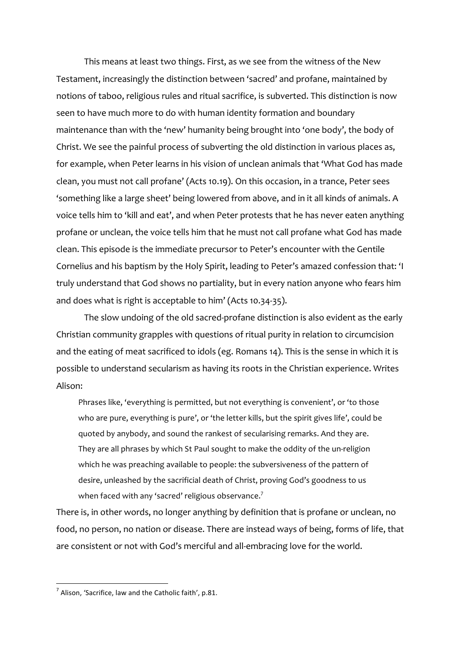This means at least two things. First, as we see from the witness of the New Testament, increasingly the distinction between 'sacred' and profane, maintained by notions of taboo, religious rules and ritual sacrifice, is subverted. This distinction is now seen to have much more to do with human identity formation and boundary maintenance than with the 'new' humanity being brought into 'one body', the body of Christ. We see the painful process of subverting the old distinction in various places as, for example, when Peter learns in his vision of unclean animals that 'What God has made clean, you must not call profane' (Acts 10.19). On this occasion, in a trance, Peter sees 'something like a large sheet' being lowered from above, and in it all kinds of animals. A voice tells him to 'kill and eat', and when Peter protests that he has never eaten anything profane or unclean, the voice tells him that he must not call profane what God has made clean. This episode is the immediate precursor to Peter's encounter with the Gentile Cornelius and his baptism by the Holy Spirit, leading to Peter's amazed confession that: 'I truly understand that God shows no partiality, but in every nation anyone who fears him and does what is right is acceptable to him' (Acts 10.34-35).

The slow undoing of the old sacred-profane distinction is also evident as the early Christian community grapples with questions of ritual purity in relation to circumcision and the eating of meat sacrificed to idols (eg. Romans 14). This is the sense in which it is possible to understand secularism as having its roots in the Christian experience. Writes Alison:

Phrases like, 'everything is permitted, but not everything is convenient', or 'to those who are pure, everything is pure', or 'the letter kills, but the spirit gives life', could be quoted by anybody, and sound the rankest of secularising remarks. And they are. They are all phrases by which St Paul sought to make the oddity of the un-religion which he was preaching available to people: the subversiveness of the pattern of desire, unleashed by the sacrificial death of Christ, proving God's goodness to us when faced with any 'sacred' religious observance.<sup>7</sup>

There is, in other words, no longer anything by definition that is profane or unclean, no food, no person, no nation or disease. There are instead ways of being, forms of life, that are consistent or not with God's merciful and all-embracing love for the world.

 

 $^7$  Alison, 'Sacrifice, law and the Catholic faith', p.81.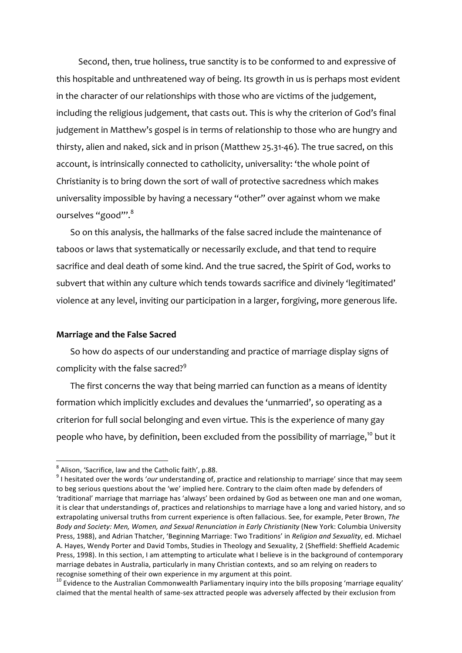Second, then, true holiness, true sanctity is to be conformed to and expressive of this hospitable and unthreatened way of being. Its growth in us is perhaps most evident in the character of our relationships with those who are victims of the judgement, including the religious judgement, that casts out. This is why the criterion of God's final judgement in Matthew's gospel is in terms of relationship to those who are hungry and thirsty, alien and naked, sick and in prison (Matthew 25.31-46). The true sacred, on this account, is intrinsically connected to catholicity, universality: 'the whole point of Christianity is to bring down the sort of wall of protective sacredness which makes universality impossible by having a necessary "other" over against whom we make ourselves "good"'.<sup>8</sup>

So on this analysis, the hallmarks of the false sacred include the maintenance of taboos or laws that systematically or necessarily exclude, and that tend to require sacrifice and deal death of some kind. And the true sacred, the Spirit of God, works to subvert that within any culture which tends towards sacrifice and divinely 'legitimated' violence at any level, inviting our participation in a larger, forgiving, more generous life.

#### **Marriage and the False Sacred**

So how do aspects of our understanding and practice of marriage display signs of complicity with the false sacred?<sup>9</sup>

The first concerns the way that being married can function as a means of identity formation which implicitly excludes and devalues the 'unmarried', so operating as a criterion for full social belonging and even virtue. This is the experience of many gay people who have, by definition, been excluded from the possibility of marriage,<sup>10</sup> but it

 $^8$  Alison, 'Sacrifice, law and the Catholic faith', p.88.

 $9$  I hesitated over the words 'our understanding of, practice and relationship to marriage' since that may seem to beg serious questions about the 'we' implied here. Contrary to the claim often made by defenders of 'traditional' marriage that marriage has 'always' been ordained by God as between one man and one woman, it is clear that understandings of, practices and relationships to marriage have a long and varied history, and so extrapolating universal truths from current experience is often fallacious. See, for example, Peter Brown, The Body and Society: Men, Women, and Sexual Renunciation in Early Christianity (New York: Columbia University Press, 1988), and Adrian Thatcher, 'Beginning Marriage: Two Traditions' in *Religion and Sexuality*, ed. Michael A. Hayes, Wendy Porter and David Tombs, Studies in Theology and Sexuality, 2 (Sheffield: Sheffield Academic Press, 1998). In this section, I am attempting to articulate what I believe is in the background of contemporary marriage debates in Australia, particularly in many Christian contexts, and so am relying on readers to recognise something of their own experience in my argument at this point.

 $10$  Evidence to the Australian Commonwealth Parliamentary inquiry into the bills proposing 'marriage equality' claimed that the mental health of same-sex attracted people was adversely affected by their exclusion from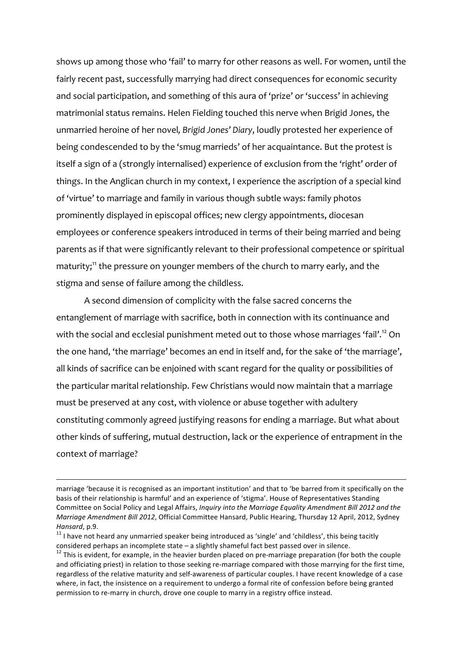shows up among those who 'fail' to marry for other reasons as well. For women, until the fairly recent past, successfully marrying had direct consequences for economic security and social participation, and something of this aura of 'prize' or 'success' in achieving matrimonial status remains. Helen Fielding touched this nerve when Brigid Jones, the unmarried heroine of her novel*, Brigid Jones' Diary*, loudly protested her experience of being condescended to by the 'smug marrieds' of her acquaintance. But the protest is itself a sign of a (strongly internalised) experience of exclusion from the 'right' order of things. In the Anglican church in my context, I experience the ascription of a special kind of 'virtue' to marriage and family in various though subtle ways: family photos prominently displayed in episcopal offices; new clergy appointments, diocesan employees or conference speakers introduced in terms of their being married and being parents as if that were significantly relevant to their professional competence or spiritual maturity;<sup>11</sup> the pressure on younger members of the church to marry early, and the stigma and sense of failure among the childless.

A second dimension of complicity with the false sacred concerns the entanglement of marriage with sacrifice, both in connection with its continuance and with the social and ecclesial punishment meted out to those whose marriages 'fail'. $^{\rm 12}$  On the one hand, 'the marriage' becomes an end in itself and, for the sake of 'the marriage', all kinds of sacrifice can be enjoined with scant regard for the quality or possibilities of the particular marital relationship. Few Christians would now maintain that a marriage must be preserved at any cost, with violence or abuse together with adultery constituting commonly agreed justifying reasons for ending a marriage. But what about other kinds of suffering, mutual destruction, lack or the experience of entrapment in the context of marriage?

 

marriage 'because it is recognised as an important institution' and that to 'be barred from it specifically on the basis of their relationship is harmful' and an experience of 'stigma'. House of Representatives Standing Committee on Social Policy and Legal Affairs, *Inquiry into the Marrigge Equality Amendment Bill 2012 and the Marriage Amendment Bill 2012, Official Committee Hansard, Public Hearing, Thursday 12 April, 2012, Sydney Hansard*, p.9.<br><sup>11</sup> I have not heard any unmarried speaker being introduced as 'single' and 'childless', this being tacitly

considered perhaps an incomplete state – a slightly shameful fact best passed over in silence.<br><sup>12</sup> This is evident, for example, in the heavier burden placed on pre-marriage preparation (for both the couple

and officiating priest) in relation to those seeking re-marriage compared with those marrying for the first time, regardless of the relative maturity and self-awareness of particular couples. I have recent knowledge of a case where, in fact, the insistence on a requirement to undergo a formal rite of confession before being granted permission to re-marry in church, drove one couple to marry in a registry office instead.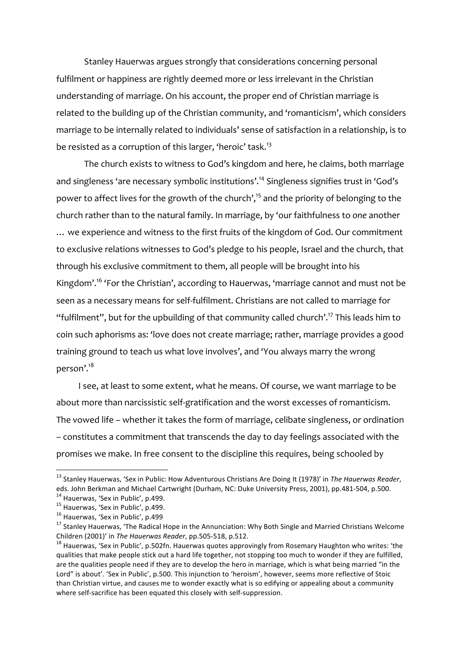Stanley Hauerwas argues strongly that considerations concerning personal fulfilment or happiness are rightly deemed more or less irrelevant in the Christian understanding of marriage. On his account, the proper end of Christian marriage is related to the building up of the Christian community, and 'romanticism', which considers marriage to be internally related to individuals' sense of satisfaction in a relationship, is to be resisted as a corruption of this larger, 'heroic' task.<sup>13</sup>

The church exists to witness to God's kingdom and here, he claims, both marriage and singleness 'are necessary symbolic institutions'.<sup>14</sup> Singleness signifies trust in 'God's power to affect lives for the growth of the church',<sup>15</sup> and the priority of belonging to the church rather than to the natural family. In marriage, by 'our faithfulness to *one* another … we experience and witness to the first fruits of the kingdom of God. Our commitment to exclusive relations witnesses to God's pledge to his people, Israel and the church, that through his exclusive commitment to them, all people will be brought into his Kingdom'.<sup>16</sup> 'For the Christian', according to Hauerwas, 'marriage cannot and must not be seen as a necessary means for self-fulfilment. Christians are not called to marriage for "fulfilment", but for the upbuilding of that community called church'. <sup>17</sup> This leads him to coin such aphorisms as: 'love does not create marriage; rather, marriage provides a good training ground to teach us what love involves', and 'You always marry the wrong person'. 18

I see, at least to some extent, what he means. Of course, we want marriage to be about more than narcissistic self-gratification and the worst excesses of romanticism. The vowed life – whether it takes the form of marriage, celibate singleness, or ordination – constitutes a commitment that transcends the day to day feelings associated with the promises we make. In free consent to the discipline this requires, being schooled by

<sup>&</sup>lt;sup>13</sup> Stanley Hauerwas, 'Sex in Public: How Adventurous Christians Are Doing It (1978)' in The Hauerwas Reader, eds. John Berkman and Michael Cartwright (Durham, NC: Duke University Press, 2001), pp.481-504, p.500.<br><sup>14</sup> Hauerwas, 'Sex in Public', p.499.<br><sup>15</sup> Hauerwas, 'Sex in Public', p.499.<br><sup>15</sup> Hauerwas, 'Sex in Public', p.499<br><sup>17</sup>

Children (2001)' in *The Hauerwas Reader*, pp.505-518, p.512.<br><sup>18</sup> Hauerwas, 'Sex in Public', p.502fn. Hauerwas quotes approvingly from Rosemary Haughton who writes: 'the

qualities that make people stick out a hard life together, not stopping too much to wonder if they are fulfilled, are the qualities people need if they are to develop the hero in marriage, which is what being married "in the Lord" is about'. 'Sex in Public', p.500. This injunction to 'heroism', however, seems more reflective of Stoic than Christian virtue, and causes me to wonder exactly what is so edifying or appealing about a community where self-sacrifice has been equated this closely with self-suppression.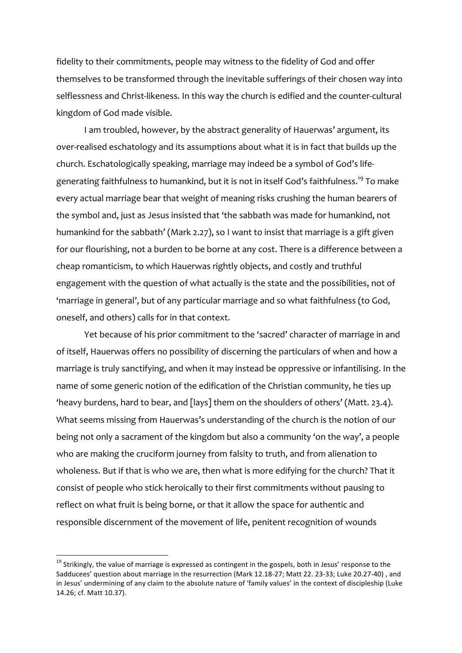fidelity to their commitments, people may witness to the fidelity of God and offer themselves to be transformed through the inevitable sufferings of their chosen way into selflessness and Christ-likeness. In this way the church is edified and the counter-cultural kingdom of God made visible.

I am troubled, however, by the abstract generality of Hauerwas' argument, its over-realised eschatology and its assumptions about what it is in fact that builds up the church. Eschatologically speaking, marriage may indeed be a symbol of God's lifegenerating faithfulness to humankind, but it is not in itself God's faithfulness.<sup>19</sup> To make every actual marriage bear that weight of meaning risks crushing the human bearers of the symbol and, just as Jesus insisted that 'the sabbath was made for humankind, not humankind for the sabbath' (Mark 2.27), so I want to insist that marriage is a gift given for our flourishing, not a burden to be borne at any cost. There is a difference between a cheap romanticism, to which Hauerwas rightly objects, and costly and truthful engagement with the question of what actually is the state and the possibilities, not of 'marriage in general', but of any particular marriage and so what faithfulness (to God, oneself, and others) calls for in that context.

Yet because of his prior commitment to the 'sacred' character of marriage in and of itself, Hauerwas offers no possibility of discerning the particulars of when and how a marriage is truly sanctifying, and when it may instead be oppressive or infantilising. In the name of some generic notion of the edification of the Christian community, he ties up 'heavy burdens, hard to bear, and [lays] them on the shoulders of others' (Matt. 23.4). What seems missing from Hauerwas's understanding of the church is the notion of our being not only a sacrament of the kingdom but also a community 'on the way', a people who are making the cruciform journey from falsity to truth, and from alienation to wholeness. But if that is who we are, then what is more edifying for the church? That it consist of people who stick heroically to their first commitments without pausing to reflect on what fruit is being borne, or that it allow the space for authentic and responsible discernment of the movement of life, penitent recognition of wounds

 $19$  Strikingly, the value of marriage is expressed as contingent in the gospels, both in Jesus' response to the Sadducees' question about marriage in the resurrection (Mark 12.18-27; Matt 22. 23-33; Luke 20.27-40) , and in Jesus' undermining of any claim to the absolute nature of 'family values' in the context of discipleship (Luke 14.26; cf. Matt 10.37).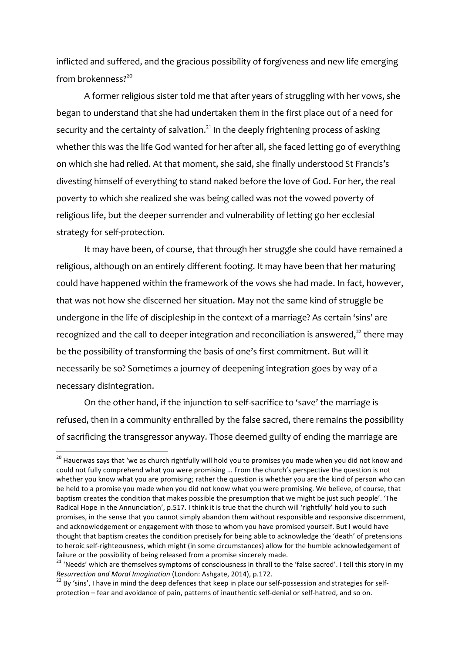inflicted and suffered, and the gracious possibility of forgiveness and new life emerging from brokenness? 20

A former religious sister told me that after years of struggling with her vows, she began to understand that she had undertaken them in the first place out of a need for security and the certainty of salvation.<sup>21</sup> In the deeply frightening process of asking whether this was the life God wanted for her after all, she faced letting go of everything on which she had relied. At that moment, she said, she finally understood St Francis's divesting himself of everything to stand naked before the love of God. For her, the real poverty to which she realized she was being called was not the vowed poverty of religious life, but the deeper surrender and vulnerability of letting go her ecclesial strategy for self-protection.

It may have been, of course, that through her struggle she could have remained a religious, although on an entirely different footing. It may have been that her maturing could have happened within the framework of the vows she had made. In fact, however, that was not how she discerned her situation. May not the same kind of struggle be undergone in the life of discipleship in the context of a marriage? As certain 'sins' are recognized and the call to deeper integration and reconciliation is answered, $^{22}$  there may be the possibility of transforming the basis of one's first commitment. But will it necessarily be so? Sometimes a journey of deepening integration goes by way of a necessary disintegration.

On the other hand, if the injunction to self-sacrifice to 'save' the marriage is refused, then in a community enthralled by the false sacred, there remains the possibility of sacrificing the transgressor anyway. Those deemed guilty of ending the marriage are

 $20$  Hauerwas says that 'we as church rightfully will hold you to promises you made when you did not know and could not fully comprehend what you were promising ... From the church's perspective the question is not whether you know what you are promising; rather the question is whether you are the kind of person who can be held to a promise you made when you did not know what you were promising. We believe, of course, that baptism creates the condition that makes possible the presumption that we might be just such people'. 'The Radical Hope in the Annunciation', p.517. I think it is true that the church will 'rightfully' hold you to such promises, in the sense that you cannot simply abandon them without responsible and responsive discernment, and acknowledgement or engagement with those to whom you have promised yourself. But I would have thought that baptism creates the condition precisely for being able to acknowledge the 'death' of pretensions to heroic self-righteousness, which might (in some circumstances) allow for the humble acknowledgement of failure or the possibility of being released from a promise sincerely made.<br><sup>21</sup> 'Needs' which are themselves symptoms of consciousness in thrall to the 'false sacred'. I tell this story in my

*Resurrection and Moral Imagination* (London: Ashgate, 2014), p.172.<br><sup>22</sup> By 'sins', I have in mind the deep defences that keep in place our self-possession and strategies for self-

protection – fear and avoidance of pain, patterns of inauthentic self-denial or self-hatred, and so on.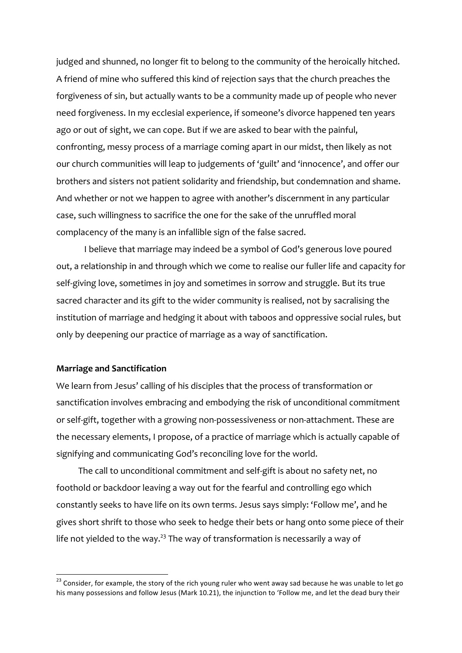judged and shunned, no longer fit to belong to the community of the heroically hitched. A friend of mine who suffered this kind of rejection says that the church preaches the forgiveness of sin, but actually wants to be a community made up of people who never need forgiveness. In my ecclesial experience, if someone's divorce happened ten years ago or out of sight, we can cope. But if we are asked to bear with the painful, confronting, messy process of a marriage coming apart in our midst, then likely as not our church communities will leap to judgements of 'guilt' and 'innocence', and offer our brothers and sisters not patient solidarity and friendship, but condemnation and shame. And whether or not we happen to agree with another's discernment in any particular case, such willingness to sacrifice the one for the sake of the unruffled moral complacency of the many is an infallible sign of the false sacred.

I believe that marriage may indeed be a symbol of God's generous love poured out, a relationship in and through which we come to realise our fuller life and capacity for self-giving love, sometimes in joy and sometimes in sorrow and struggle. But its true sacred character and its gift to the wider community is realised, not by sacralising the institution of marriage and hedging it about with taboos and oppressive social rules, but only by deepening our practice of marriage as a way of sanctification.

## **Marriage and Sanctification**

<u> 1989 - Johann Barn, mars ann an t-Amhain an t-Amhain an t-Amhain an t-Amhain an t-Amhain an t-Amhain an t-Amh</u>

We learn from Jesus' calling of his disciples that the process of transformation or sanctification involves embracing and embodying the risk of unconditional commitment or self-gift, together with a growing non-possessiveness or non-attachment. These are the necessary elements, I propose, of a practice of marriage which is actually capable of signifying and communicating God's reconciling love for the world.

The call to unconditional commitment and self-gift is about no safety net, no foothold or backdoor leaving a way out for the fearful and controlling ego which constantly seeks to have life on its own terms. Jesus says simply: 'Follow me', and he gives short shrift to those who seek to hedge their bets or hang onto some piece of their life not yielded to the way.<sup>23</sup> The way of transformation is necessarily a way of

<sup>&</sup>lt;sup>23</sup> Consider, for example, the story of the rich young ruler who went away sad because he was unable to let go his many possessions and follow Jesus (Mark 10.21), the injunction to 'Follow me, and let the dead bury their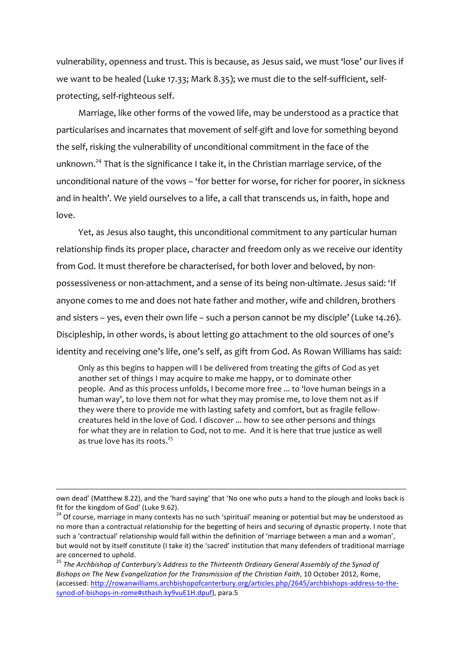vulnerability, openness and trust. This is because, as Jesus said, we must 'lose' our lives if we want to be healed (Luke 17.33; Mark 8.35); we must die to the self-sufficient, selfprotecting, self-righteous self.

Marriage, like other forms of the vowed life, may be understood as a practice that particularises and incarnates that movement of self-gift and love for something beyond the self, risking the vulnerability of unconditional commitment in the face of the unknown.<sup>24</sup> That is the significance I take it, in the Christian marriage service, of the unconditional nature of the vows – 'for better for worse, for richer for poorer, in sickness and in health'. We yield ourselves to a life, a call that transcends us, in faith, hope and love.

Yet, as Jesus also taught, this unconditional commitment to any particular human relationship finds its proper place, character and freedom only as we receive our identity from God. It must therefore be characterised, for both lover and beloved, by nonpossessiveness or non-attachment, and a sense of its being non-ultimate. Jesus said: 'If anyone comes to me and does not hate father and mother, wife and children, brothers and sisters – yes, even their own life – such a person cannot be my disciple' (Luke 14.26). Discipleship, in other words, is about letting go attachment to the old sources of one's identity and receiving one's life, one's self, as gift from God. As Rowan Williams has said:

Only as this begins to happen will I be delivered from treating the gifts of God as yet another set of things I may acquire to make me happy, or to dominate other people. And as this process unfolds, I become more free ... to 'love human beings in a human way', to love them not for what they may promise me, to love them not as if they were there to provide me with lasting safety and comfort, but as fragile fellowcreatures held in the love of God. I discover ... how to see other persons and things for what they are in relation to God, not to me. And it is here that true justice as well as true love has its roots.<sup>25</sup>

 own dead' (Matthew 8.22), and the 'hard saying' that 'No one who puts a hand to the plough and looks back is fit for the kingdom of God' (Luke 9.62).

<sup>&</sup>lt;sup>24</sup> Of course, marriage in many contexts has no such 'spiritual' meaning or potential but may be understood as no more than a contractual relationship for the begetting of heirs and securing of dynastic property. I note that such a 'contractual' relationship would fall within the definition of 'marriage between a man and a woman', but would not by itself constitute (I take it) the 'sacred' institution that many defenders of traditional marriage are concerned to uphold.

<sup>&</sup>lt;sup>25</sup> The Archbishop of Canterbury's Address to the Thirteenth Ordinary General Assembly of the Synod of *Bishops* on The New Evangelization for the Transmission of the Christian Faith, 10 October 2012, Rome, (accessed: http://rowanwilliams.archbishopofcanterbury.org/articles.php/2645/archbishops-address-to-thesynod-of-bishops-in-rome#sthash.ky9vuE1H.dpuf), para.5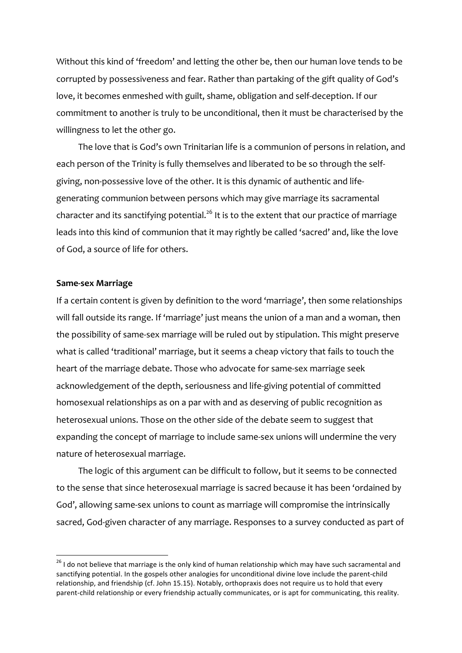Without this kind of 'freedom' and letting the other be, then our human love tends to be corrupted by possessiveness and fear. Rather than partaking of the gift quality of God's love, it becomes enmeshed with guilt, shame, obligation and self-deception. If our commitment to another is truly to be unconditional, then it must be characterised by the willingness to let the other go.

The love that is God's own Trinitarian life is a communion of persons in relation, and each person of the Trinity is fully themselves and liberated to be so through the selfgiving, non-possessive love of the other. It is this dynamic of authentic and lifegenerating communion between persons which may give marriage its sacramental character and its sanctifying potential.<sup>26</sup> It is to the extent that our practice of marriage leads into this kind of communion that it may rightly be called 'sacred' and, like the love of God, a source of life for others.

#### **Same-sex Marriage**

If a certain content is given by definition to the word 'marriage', then some relationships will fall outside its range. If 'marriage' just means the union of a man and a woman, then the possibility of same-sex marriage will be ruled out by stipulation. This might preserve what is called 'traditional' marriage, but it seems a cheap victory that fails to touch the heart of the marriage debate. Those who advocate for same-sex marriage seek acknowledgement of the depth, seriousness and life-giving potential of committed homosexual relationships as on a par with and as deserving of public recognition as heterosexual unions. Those on the other side of the debate seem to suggest that expanding the concept of marriage to include same-sex unions will undermine the very nature of heterosexual marriage.

The logic of this argument can be difficult to follow, but it seems to be connected to the sense that since heterosexual marriage is sacred because it has been 'ordained by God', allowing same-sex unions to count as marriage will compromise the intrinsically sacred, God-given character of any marriage. Responses to a survey conducted as part of

 $26$  I do not believe that marriage is the only kind of human relationship which may have such sacramental and sanctifying potential. In the gospels other analogies for unconditional divine love include the parent-child relationship, and friendship (cf. John 15.15). Notably, orthopraxis does not require us to hold that every parent-child relationship or every friendship actually communicates, or is apt for communicating, this reality.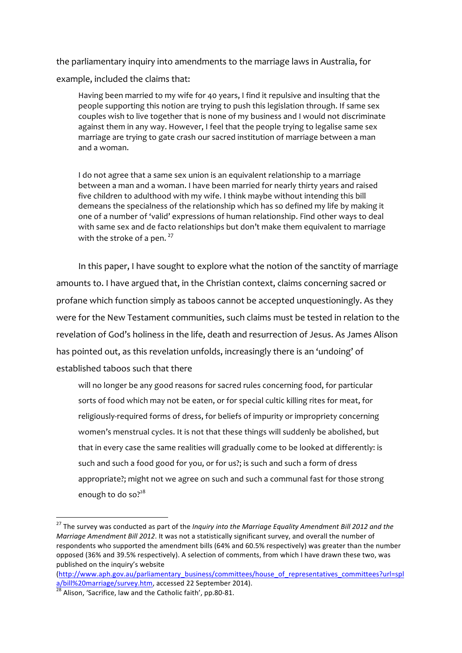the parliamentary inquiry into amendments to the marriage laws in Australia, for example, included the claims that:

Having been married to my wife for 40 years, I find it repulsive and insulting that the people supporting this notion are trying to push this legislation through. If same sex couples wish to live together that is none of my business and I would not discriminate against them in any way. However, I feel that the people trying to legalise same sex marriage are trying to gate crash our sacred institution of marriage between a man and a woman.

I do not agree that a same sex union is an equivalent relationship to a marriage between a man and a woman. I have been married for nearly thirty years and raised five children to adulthood with my wife. I think maybe without intending this bill demeans the specialness of the relationship which has so defined my life by making it one of a number of 'valid' expressions of human relationship. Find other ways to deal with same sex and de facto relationships but don't make them equivalent to marriage with the stroke of a pen.  $27$ 

In this paper, I have sought to explore what the notion of the sanctity of marriage amounts to. I have argued that, in the Christian context, claims concerning sacred or profane which function simply as taboos cannot be accepted unquestioningly. As they were for the New Testament communities, such claims must be tested in relation to the revelation of God's holiness in the life, death and resurrection of Jesus. As James Alison has pointed out, as this revelation unfolds, increasingly there is an 'undoing' of established taboos such that there

will no longer be any good reasons for sacred rules concerning food, for particular sorts of food which may not be eaten, or for special cultic killing rites for meat, for religiously-required forms of dress, for beliefs of impurity or impropriety concerning women's menstrual cycles. It is not that these things will suddenly be abolished, but that in every case the same realities will gradually come to be looked at differently: is such and such a food good for you, or for us?; is such and such a form of dress appropriate?; might not we agree on such and such a communal fast for those strong enough to do so?<sup>28</sup>

<sup>&</sup>lt;sup>27</sup> The survey was conducted as part of the *Inquiry into the Marriage Equality Amendment Bill 2012 and the Marriage Amendment Bill 2012*. It was not a statistically significant survey, and overall the number of respondents who supported the amendment bills (64% and 60.5% respectively) was greater than the number opposed (36% and 39.5% respectively). A selection of comments, from which I have drawn these two, was published on the inquiry's website

<sup>(</sup>http://www.aph.gov.au/parliamentary\_business/committees/house\_of\_representatives\_committees?url=spl  $a/b$ ill%20 marriage/survey.htm, accessed 22 September 2014).<br><sup>28</sup> Alison, 'Sacrifice, law and the Catholic faith', pp.80-81.